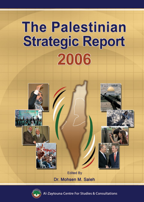# **The Palestinian Strategic Report** 2006





Zaytouna Centre For Studies & Consultations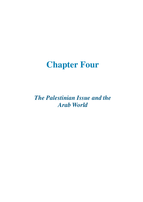# **Chapter Four**

*The Palestinian Issue and the Arab World*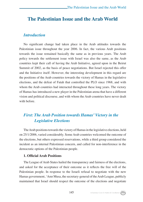# **The Palestinian Issue and the Arab World**

#### *Introduction*

No significant change had taken place in the Arab attitudes towards the Palestinian issue throughout the year 2006. In fact, the various Arab positions towards the issue remained basically the same as in previous years. The Arab policy towards the settlement issue with Israel was also the same, as the Arab countries kept their call of having the Arab Initiative, agreed upon in the Beirut Summit of 2002, as the basis of peace negotiations. But Israel rejected this offer and the Initiative itself. However, the interesting development in this regard are the positions of the Arab countries towards the victory of Hamas in the legislative elections, and the defeat of Fatah that controlled the PLO since 1968, and with whom the Arab countries had interacted throughout these long years. The victory of Hamas has introduced a new player in the Palestinian arena that have a different vision and political discourse, and with whom the Arab countries have never dealt with before.

# *First: The Arab Position towards Hamas' Victory in the Legislative Elections*

The Arab positions towards the victory of Hamas in the legislative elections, held on 25/1/2006, varied considerably. Some Arab countries welcomed the outcome of the elections, but others expressed reservations, while a third group considered the incident as an internal Palestinian concern, and called for non-interference in the democratic options of the Palestinian people.

#### **1. Official Arab Positions**

The League of Arab States hailed the transparency and fairness of the elections, and asked for the acceptance of their outcome as it reflects the free will of the Palestinian people. In response to the Israeli refusal to negotiate with the new Hamas government, 'Amr Musa, the secretary-general of the Arab League, publicly maintained that Israel should respect the outcome of the elections and negotiate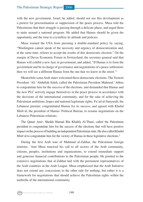with the new government. Israel, he added, should not use this development as a pretext for procrastination or suppression of the peace process. Musa told the Palestinians that their struggle is passing through a delicate phase, and urged them to unite around a national program. He added that Hamas should be given the opportunity and the time to crystallize its attitude and policies.

Musa warned the USA from pursuing a double-standard policy by saying, "Washington cannot speak of the necessity and urgency of democratization and, at the same time, refuses to accept the results of this democratic election." On the margin of Davos Economic Forum in Switzerland, the secretary-general said that Hamas will exhibit a new face in government, and added, "If Hamas is to form the government and be in charge of governance and negotiations of a peace settlement, then we will see a different Hamas from the one that we know in the street."1

Meanwhile some Arab states welcomed these democratic elections. The Yemeni President 'Ali 'Abdullah Saleh, called the Palestinian President Mahmud 'Abbas to congratulate him for the success of the elections, and demanded that Hamas and the new PLC actively engage themselves in the peace process in accordance with the decisions of the international community, and for the sake of achieving the Palestinian ambitions, hopes and national legitimate rights. Fu'ad al-Sanyurah, the Lebanese premier, congratulated Hamas for its success, and agreed with Khalid Mish'al, the president of Hamas' Political Bureau, to resume negotiations on the Lebanese-Palestinian relations.

The Qatari *Amir*, Sheikh Hamad Bin Khalifa Al-Thani, called the Palestinian president to congratulate him for the success of the elections that will have positive impact on the process of building an independent Palestinian state. He also called Khalid Mish'al to congratulate him for the victory of Hamas in these legislative elections.<sup>2</sup>

During the first Arab tour of Mahmud al-Zahhar, the Palestinian foreign minister, 'Amr Musa renewed his call to all sectors of the Arab community, citizens, peoples, institutions and organizations, to extend immediate support and generous financial contributions to the Palestinian people. He pointed to the extensive negotiations that al-Zahhar had with the permanent representatives of the Arab countries in the Arab League. Musa emphasized that the Arab Initiative does not extend any concessions to the other side for nothing, but rather it is a framework for negotiations that should achieve the Palestinian rights within the umbrella of the international community.

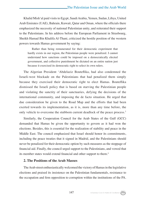Khalid Mish'al paid visits to Egypt, Saudi Arabia, Yemen, Sudan, Libya, United Arab Emirates (UAE), Bahrain, Kuwait, Qatar and Oman, where the officials there emphasized the necessity of national Palestinian unity, and reiterated their support to the Palestinians. In his address before the European Parliament in Strasbourg, Sheikh Hamad Bin Khalifa Al-Thani, criticized the hostile position of the western powers towards Hamas government by saying:

Rather than being remunerated for their democratic experiment that hardly exists in our region, the Palestinian people were penalized. I cannot understand how sanctions could be imposed on a democratically elected government, and collective punishment be dictated on an entire nation just because it exercised its democratic right to select its own rulers.

The Algerian President 'Abdelaziz Bouteflika, had also condemned the Israeli-west blockade on the Palestinians that had penalized them simply because they exercised their democratic right to elect Hamas. Bouteflika dismissed the Israeli policy that is based on starving the Palestinian people and violating the sanctity of their sanctuaries, defying the decisions of the international community, and imposing the de facto situation. He urged that due consideration be given to the Road Map and the efforts that had been exerted towards its implementation, as it is, more than any time before, the only vehicle to overcome the stubborn current deadlock of the peace process.3

Similarly, the Cooperation Council for the Arab States of the Gulf (GCC) demanded that Hamas be given the opportunity to govern as it had won the elections. Besides, this is essential for the realization of stability and peace in the Middle East. The council emphasized that Israel should honor its commitments, including the peace treaties that it signed in Madrid, and the Palestinians should never be penalized for their democratic option by such measures as the stoppage of financial aid. Finally, the council urged support to the Palestinians, and vowed that its member states would extend financial and other support to them.<sup>4</sup>

#### **2. The Positions of the Arab Masses**

The Arab street enthusiastically welcomed the victory of Hamas in the legislative elections and praised its insistence on the Palestinian fundamentals, resistance to the occupation and firm opposition to corruption within the institutions of the PA.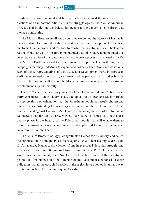Similarity, the Arab national and Islamic parties, welcomed the outcome of the elections as an important initial step in the struggle against the Zionist-American projects, and in alerting the Palestinian people to the dangerous conspiracy that they are confronting.

The Muslim Brothers in all Arab countries welcomed the victory of Hamas in the legislative elections, which they viewed as a success to the option of resistance, and to the Islamic project and methods to resolve the Palestinian issue. The Islamic Action Front Party (IAF) in Jordan maintained that this victory tantamounted to a correction exercise of a wrong route and to the peace process that started in 1993. The Muslim Brothers vowed to extend financial support to Hamas through wide campaigns that they undertook to organize to collect subscriptions and donations. Each of the 43 representatives of the Justice and Development Party in Moroccan Parliament donated a day's salary to Hamas, and the party, as well as other Islamic forces in the country, called upon the Moroccan masses to support the Palestinian people financially and morally.<sup>5</sup>

Hamza Mansur, the secretary-general of the Jordanian Islamic Action Front Party, considered Hamas victory as a wake up call to all Arab and Muslim rulers to support this new orientation that the Palestinian people had freely chosen and pursued, notwithstanding the warnings and threats that the USA and the EU had loudly voiced against Hamas. Sa'id Thiab, the secretary-general of the Jordanian Democratic Popular Unity Party, viewed the victory of Hamas as a new and a quality phase in the history of the Palestinian people that will enable them to present alternatives priorities and means of struggle, and to end the widespread corruption within the PA.<sup>6</sup>

The Muslim Brothers of Egypt congratulated Hamas for its victory, and called the organization to unite the Palestinians against Israel. Their leading leader 'Isam al-'Aryan urged Hamas to draw lessons from the previous Palestinian struggle, and to reconstruct and unite the internal front behind the new PLC. He called all the world powers, particularly the USA, to respect the free choice of the Palestinian people, and maintained that the outcome of the Palestinian elections is a clear indication that all the occupied peoples in the region have adopted Islam as a way of life, as has been the case in Iraq and Palestine.7

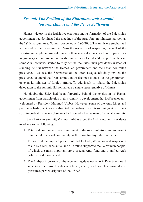# *Second: The Position of the Khartoum Arab Summit towards Hamas and the Peace Settlement*

Hamas' victory in the legislative elections and its formation of the Palestinian government had dominated the meetings of the Arab foreign ministers, as well as the 18<sup>th</sup> Khartoum Arab Summit convened on 28/3/2006. The ministers emphasized at the end of their meetings in Cairo the necessity of respecting the will of the Palestinian people, non-interference in their internal affairs, and not to pass prior judgments, or to impose unfair conditions on their elected leadership. Nonetheless, some Arab countries started to rally behind the Palestinian presidency instead of standing neutral between the Hamas led government and the Fatah controlled presidency. Besides, the Secretariat of the Arab League officially invited the presidency to attend the Arab summit, but it declined to do so to the government, or even its minister of foreign affairs. To add insult to injury, the Palestinian delegation to the summit did not include a single representative of Hamas.

No doubt, the USA had been forcefully behind the exclusion of Hamas government from participation in this summit, a development that had been openly welcomed by President Mahmud 'Abbas. However, some of the Arab kings and presidents had conspicuously absented themselves from this summit, which made it so unimportant that some observers had labeled it the weakest of all Arab summits.

In the Khartoum Summit, Mahmud 'Abbas urged the Arab kings and presidents to adhere to the following:

- 1. Total and comprehensive commitment to the Arab Initiative, and to present it to the international community as the basis for any future settlement.
- 2. To confront the imposed policies of the blockade, starvation and suspension of aid by a real, substantial and all around support to the Palestinian people, of which the most important are a special Arab fund and a unified Arab political and moral stand.
- 3. The Arab position towards the accelerating developments in Palestine should supersede the current status of silence, apathy and complete surrender to pressures, particularly that of the USA.8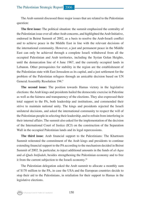The Arab summit discussed three major issues that are related to the Palestinian question:

**The first issue:** The political situation: the summit emphasized the centrality of the Palestinian issue over all other Arab concerns, and highlighted the Arab Initiative, endorsed in Beirut Summit of 2002, as a basis to resolve the Arab-Israeli conflict and to achieve peace in the Middle East in line with the relevant decisions of the international community. However, a just and permanent peace in the Middle East can only be achieved through a complete Israeli withdrawal from all the occupied Palestinian and Arab territories, including the Syrian Golan Heights, until the demarcation line of 4 June 1967, and the currently occupied lands in Lebanon. Other prerequisites for stability in the region are the establishment of the Palestinian state with East Jerusalem as its capital, and a just settlement for the problem of the Palestinian refugees through an amicable decision based on UN General Assembly Resolution 194.9

**The second issue:** The position towards Hamas victory in the legislative elections: the Arab kings and presidents hailed the democratic exercise in Palestine as well as the fairness and transparency of the elections. They also expressed their total support to the PA, both leadership and institutions, and commended their strive to maintain national unity. The kings and presidents rejected the Israeli unilateral decisions, and asked the international community to respect the will of the Palestinian people in selecting their leadership, and to refrain from interfering in their internal affairs. The summit also asked for the implementation of the decision of the International Court of Justice (ICJ) on the construction of the Separation Wall in the occupied Palestinian lands and its legal repercussions.

**The third issue**: Arab financial support to the Palestinians: The Khartoum Summit reiterated the commitment of the Arab kings and presidents to continue extending financial support to the PA according to the mechanism decided in Beirut Summit of 2002. In particular, to inject additional amounts in the funds of *al-Aqsa* and *al-Quds Intifadah*, besides strengthening the Palestinian economy and to free it from the current subjection to the Israeli economy.10

The Palestinian delegation asked the Arab summit to allocate a monthly sum of \$170 million to the PA, in case the USA and the European countries decide to stop their aid to the Palestinians, in retaliation for their support to Hamas in the legislative elections.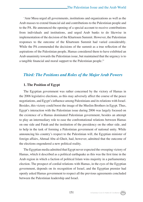'Amr Musa urged all governments, institutions and organizations as well as the Arab masses to extend financial aid and contributions to the Palestinian people and to the PA. He announced the opening of a special account to receive contributions from individuals and institutions, and urged Arab banks to do likewise in implementation of the decision of the Khartoum Summit. However, the Palestinian responses to the outcome of the Khartoum Summit had varied considerably. While the PA commended the decisions of the summit as a true reflection of the aspirations of the Palestinian people, Hamas considered them to have exhibited an Arab unanimity towards the Palestinian issue, but maintained that the urgency is to a tangible financial and moral support to the Palestinian people.<sup>11</sup>

# *Third: The Positions and Roles of the Major Arab Powers*

#### **1. The Position of Egypt**

The Egyptian government was rather concerned by the victory of Hamas in the 2006 legislative elections, as this may adversely affect the course of the peace negotiations, and Egypt's influence among Palestinians and its relations with Israel. Besides, this victory could boost the image of the Muslim Brothers in Egypt. Thus, Egypt's interaction with the Palestinian issue during 2006 was largely focused on the existence of a Hamas dominated Palestinian government, besides an attempt to play an intermediary role to ease the confrontational relations between Hamas on one side and Fatah and the institution of the presidency on the other side, and to help in the task of forming a Palestinian government of national unity. While announcing his country's respect to the Palestinian will, the Egyptian minister of foreign affairs, Ahmad Abu al-Gheit, had, however, admitted that the outcome of the elections engendered a new political reality.

The Egyptian media admitted that Egypt never expected the sweeping victory of Hamas, which it described as a political earthquake as this was the first time in the Arab region in which a faction of political Islam wins majority in a parliamentary election. The prospect of cordial relations with Hamas, in the eyes of the Egyptian government, depends on its recognition of Israel, and the Egyptian premier had openly asked Hamas government to respect all the previous agreements concluded between the Palestinian leadership and Israel.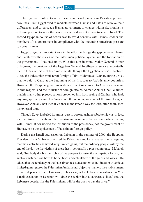#### The Palestinian Strategic Report 2006

The Egyptian policy towards these new developments in Palestine pursued two lines. First, Egypt tried to mediate between Hamas and Fatah to resolve their differences, and to persuade Hamas government to change within six months its extreme position towards the peace process and accept to negotiate with Israel. The second Egyptian course of action was to avoid contacts with Hamas leaders and members of its government in compliance with the mounting American pressure to corner Hamas.

Egypt played an important role in the effort to bridge the gap between Hamas and Fatah over the issues of the Palestinian political system and the formation of the government of national unity. With this aim in mind, Major-General 'Umar Sulayman, the president of the Egyptian General Intelligence Service, repeatedly met in Gaza officials of both movements, though the Egyptian officials declined to see the Palestinian minister of foreign affairs, Mahmud al-Zahhar, during a visit that he paid to Cairo at the beginning of his first tour to Arab-Islamic countries. However, the Egyptian government denied that it succumbed to American pressure in this respect, and the minister of foreign affairs, Ahmad Abu al-Gheit, claimed that his many other preoccupations prevented him from seeing al-Zahhar, who had, anyhow, specially came to Cairo to see the secretary-general of the Arab League. However, Abu al-Gheit met al-Zahhar in the latter's way to Gaza, after he finished his external tour.

Though Egypt had tried its utmost best to pose as an honest broker, it was, in fact, inclined towards Fatah and the Palestinian presidency, but extreme when dealing with Hamas. It considered the institution of the presidency, not the government of Hamas, to be the spokesman of Palestinian foreign policy.

During the Israeli aggression on Lebanon in the summer of 2006, the Egyptian President Husni Mubarak criticized the Palestinian and Lebanese resistance, arguing that their activities achieved very limited gains, but the ordinary people will by the end of the day be the victims of these hasty actions. In a press conference, Mubarak said, "No body doubts the rights of the peoples to resist the occupation forces, but such a resistance will have to be cautions and calculative of the gains and losses." He added that the tendency of the Palestinian resistance to ignite the situation to achieve limited gains ignores the Palestinian fundamental objective, namely the establishment of an independent state. Likewise, in his view, is the Lebanese resistance, as "the Israeli escalation in Lebanon will drag the region into a dangerous slide," and the Lebanese people, like the Palestinians, will be the ones to pay the price.<sup>12</sup>

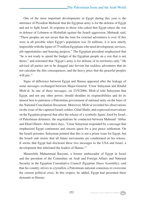One of the most important developments in Egypt during this year is the utterance of President Mubarak that the Egyptian army is for the defense of Egypt and not to fight Israel. In response to those who asked that Egypt enters the war in defense of Lebanon or Hizbullah against the Israeli aggression, Mubarak said, "These peoples are not aware that the time for external adventures is over. If this were at all possible when Egypt's population was 24 millions, it is now utterly impossible with the figure of 75 million Egyptians who need development, services, job opportunities and housing projects." The Egyptian president emphasized that "he is not ready to spend the budget of the Egyptian people on a war that is not theirs," and reiterated that "Egypt's army is for defense of its territories only." He advised all parties not to be dragged into fervent but reckless adventures that do not calculate the dire consequences, and the heavy price that the peaceful peoples will pay.<sup>13</sup>

Signs of difference between Egypt and Hamas appeared after the leakage of some messages exchanged between Major-General 'Umar Sulayman and Khalid Mish'al. In one of these messages, on 23/9/2006, Mish'al told Sulayman that Egypt, and not any other power, should shoulder its responsibilities and do its utmost best to patronize a Palestinian government of national unity on the basis of the National Conciliation Document. Moreover, Mish'al recorded his observations on the issue of the captured Israeli soldier, Gilad Shalit, and expressed reservations on the Egyptian proposal that after the release of a symbolic figure, fixed by Israel, of Palestinian detainees, the negotiations be conducted between Mahmud 'Abbas and Ehud Olmert. After three days, 'Umar Sulayman responded by a message that emphasized Egypt continuous and sincere quest for a just peace settlement. On the Israeli prisoner, Sulayman pointed that this is not a prime issue for Egypt, but the Israeli side insists that all future movements are conditioned on his release. It seems that Egypt had disclosed these two messages to the USA and Israel, a development that infuriated the leaders of Hamas.<sup>14</sup>

Meanwhile Muhammad Basyuni, a former ambassador of Egypt in Israel and the president of the Committee on Arab and Foreign Affairs and National Security in the Egyptian Consultative Council (Egyptian *Shura* Assembly), said that his country strives to crystallize a Palestinian national consensus to overcome the current political crisis. In this respect, he added, Egypt had presented three demands to Hamas: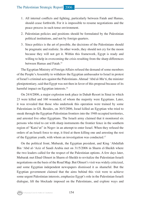- 1. All internal conflicts and fighting, particularly between Fatah and Hamas, should cease forthwith. For it is impossible to resume negotiations and the peace process in such tense environment.
- 2. Palestinian policies and positions should be formulated by the Palestinian political institutions, and not by foreign quarters.
- 3. Since politics is the art of possible, the decisions of the Palestinians should be pragmatic and realistic. In other words, they should not cry for the moon because they will not get it. Within this framework, Egypt is ready and willing to help in overcoming the crisis resulting from the sharp differences between Hamas and Fatah.15

The Egyptian Ministry of Foreign Affairs refused the demand of some members of the People's Assembly to withdraw the Egyptian ambassador to Israel in protest of Israel's criminal acts against the Palestinians. Ahmad 'Abd al-Mu'ti, the minister plenipotentiary, said that Egypt was not then in favor of this proposal because of its harmful impact on Egyptian interests.<sup>16</sup>

On 24/4/2006, a major explosion took place in Dahab Resort in Sinai in which 23 were killed and 160 wounded, of whom the majority were Egyptians. Later, it was revealed that those who undertook this operation were trained by some Palestinians in GS. Besides, on 30/5/2006, Israel killed an Egyptian who tried to sneak through the Egyptian-Palestinian frontiers into the 1948 occupied territories, and arrested five other Egyptians. The Israeli army claimed that it monitored six persons who tried to cut with sharp instruments the frontier fence in the southern region of "Katsi'ut" in Negev in an attempt to enter Israel. When they refused the orders of an Israeli force to stop, it fried at them killing one and arresting the rest of the Egyptian youth, with whom an investigation was conducted.<sup>17</sup>

On the political front, Mubarak, the Egyptian president, and King 'Abdullah Bin 'Abd al-'Aziz of Saudi Arabia met on 31/5/2006 in Sharm el-Sheikh where the two leaders called for the respect of the Palestinian options. A few days later, Mubarak met Ehud Olmert in Sharm el-Sheikh to revitalize the Palestinian-Israeli negotiations on the basis of the Road Map. But Olmert's visit was widely criticized, and some Egyptian independent newspapers dismissed it as shameful. But the Egyptian government claimed that the aims behind this visit were to achieve some urgent Palestinian interests, emphasize Egypt's role in the Palestinian-Israeli dialogue, lift the blockade imposed on the Palestinians, and explore ways and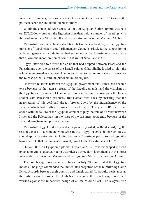means to resume negotiations between 'Abbas and Olmert rather than to leave the political scene for unilateral Israeli solutions.

Within the contest of Arab consultations, an Egyptian-Syrian summit was held on 22/6/2006. Moreover, the Egyptian president held a number of meetings with the Jordanian King 'Abdullah II and the Palestinian President Mahmud 'Abbas.

Meanwhile, within the bilateral relations between Israel and Egypt, the Egyptian minister of Legal Affairs and Parliamentary Councils criticized the suggestion of an Israeli general to include in the final settlement of the Palestinian issue a clause that allows the incorporation of some  $600 \text{ km}^2$  of Sinai land in GS.

Egypt interfered to diffuse the crisis that had erupted between Israel and the Palestinians over the arrest of the Israeli soldier Gilad Shalit. It tried to play the role of an intermediary between Hamas and Israel to secure his release in return for the release of the Palestinian prisoners in Israeli jails.

However, relations between the Egyptian government and Hamas had become tense because of the latter's refusal of the Israeli demands, and the criticism by the Egyptian government of Hamas' position on the issue of swapping the Israeli soldier with Palestinian prisoners. But Hamas fired back by insisting that the negotiations of this deal had already broken down by the intransigence of the Israelis, which had further infuriated official Egypt. The year 2006 had, thus, ended with the failure of the Egyptian attempt to play the role of a broker between Israel and the Palestinians on the issue of the prisoners apparently because of the Israeli dogmatism and procrastination.

Meanwhile, Egypt suddenly and conspicuously ruled, without clarifying the reasons, that all Palestinians who wish to visit Egypt or cross its borders to GS should apply for entry visa, including bearers of Palestinian passports and Egyptian travel permits that the authorities usually grant to the Palestinians of GS.18

On 9/2/2006, an Egyptian diplomat, Husam al-Musli, was kidnapped in Gaza by an anonymous quarter, but he was released three days later, thanks to the direct intervention of President Mubarak and the Egyptian Ministry of Foreign Affairs.

The Israeli aggression against Lebanon in July 2006 infuriated the Egyptian masses. The judges demanded the immediate abrogation of the humiliating Camp David Accords between their country and Israel, called for popular resistance as the only means to protect the Arab Nation against the Israeli aggression, and warned against the imperialist design of a new Middle East. The lawyers also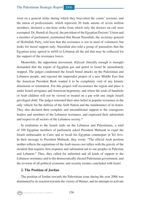went on a general strike during which they boycotted the courts' sessions, and the union of professionals, which represent 20 trade unions of seven million members, declared a one-hour strike from which only the doctors on call were exempted. Dr. Hamdi al-Sayyid, the president of the Egyptian Doctors' Union and a member of parliament, maintained that Hasan Nasrullah, the secretary-general of Hizbullah Party, told him that the resistance is not in need of volunteers but looks for moral support only. Nasrullah also told a group of journalists that the Egyptian army agreed to airlift to Lebanon all the aid that may be collected for the support of the resistance forces.

Meanwhile, the opposition movement, *Kifayah* (literally enough is enough) demanded that the export of Egyptian gas and petrol to Israel be immediately stopped. The judges condemned the Israeli brutal attacks on the Palestinian and Lebanese people, and rejected the imperialist project of a new Middle East that the American President Bush wanted it to be completely void of any Islamic dimension or orientation. For this project will reconstruct the region and place it under Israeli arrogance and American hegemony, and where the souls of hundreds of Arab children will not be viewed or treated on a par with one single Israeli privileged child. The judges reiterated their utter belief in popular resistance as the only vehicle for the defense of the Arab Nation and the maintenance of its honor. They also declared their complete and unconditional support to the courageous leaders and members of the Lebanese resistance, and expressed their admiration and respect to all sectors of the Lebanese society.19

In retaliation to the Israeli raids on the Lebanese and Palestinians, a total of 100 Egyptian members of parliament asked President Mubarak to expel the Israeli ambassador in Cairo and to recall his Egyptian counterpart in Tel Aviv. In their message to President Mubarak, they wrote: "The official Arab position neither reflects the aspirations of the Arab masses nor tallies with the gravity of the incident that requires firm response and substantial aid to our peoples in Palestine and Lebanon." Thus, they called for unlimited and all kinds of support to the Lebanese resistance and to the democratically elected Palestinian government, and the revision of all political economic and security treaties concluded with Israel.

#### **2. The Position of Jordan**

The position of Jordan towards the Palestinian issue during the year 2006 was dominated by its reaction towards the victory of Hamas, and its attempts to activate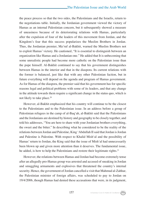the peace process so that the two sides, the Palestinians and the Israelis, return to the negotiations table. Initially, the Jordanian government viewed the victory of Hamas as an internal Palestinian concern, but it subsequently showed a measure of uneasiness because of its deteriorating relations with Hamas, particularly after the expulsion of four of the leaders of this movement from Jordan, and the Kingdom's fear that this success popularizes the Muslim Brothers in Jordan. Thus, the Jordanian premier, Ma'ruf al-Bakhit, warned the Muslim Brothers not to exploit Hamas' victory. He cautioned, "It is essential to distinguish between an organization like Hamas and a Jordanian one." He added that It is unbecoming that some unrealistic people had become more catholic on the Palestinian issue than the pope himself. Al-Bakhit continued to say that his government distinguishes between Hamas in the interior and that in the diaspora. Its current relations with the former is balanced, just like that with any other Palestinian faction, but in future everything will depend on the agenda and program of Hamas government. As for Hamas of the diaspora, the premier said that his government has for specific reasons legal and political problems with some of its leaders, and that any change in the attitude towards them require a significant change in the status quo, which is not likely to take place.20

However, al-Bakhit emphasized that his country will continue to be the closest to the Palestinians and to the Palestinian issue. In an address before a group of Palestinian refugees in the camp of al-Baq'ah, al-Bakhit said that the Palestinians and the Jordanians are destined by history and geography to be closely together, and told his addresses, "You are here to share with your Jordanian brothers everything, the sweet and the bitter." In describing what he considered to be the reality of the relations between Jordan and Palestine, King 'Abdullah II said that Jordan is Jordan and Palestine is Palestine. With respect to Khalid Mish'al and the possibility of Hamas' return to Jordan, the King said that the issue of Mish'al had unnecessarily been blown up and given more attention than it deserves. The fundamental issue, he added, is how to help the Palestinians and restore their legitimate rights.<sup>21</sup>

However, the relations between Hamas and Jordan had become extremely tense after an allegedly pro-Hamas group was arrested and accused of sneaking in Jordan and smuggling armaments and explosives that threatened the country's internal security. Hence, the government of Jordan cancelled a visit that Mahmud al-Zahhar, the Palestinian minister of foreign affairs, was scheduled to pay to Jordan on 19/4/2006, though Hamas had denied these accusations that were, in its judgment,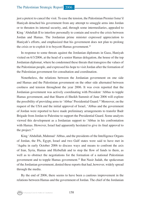just a pretext to cancel the visit. To ease the tension, the Palestinian Premier Isma'il Haniyah detached his government from any attempt to smuggle arms into Jordan or to threaten its internal security, and, through some intermediaries, appealed to King 'Abdullah II to interfere personally to contain and resolve the crisis between Jordan and Hamas. The Jordanian prime minister expressed appreciation to Haniyah's efforts, and emphasized that his government does not plan to prolong the crisis or to exploit it to boycott Hamas government.22

In response to some threats against the Jordanian diplomats in Gaza, Haniyah visited on 6/3/2006, at the head of a senior Hamas delegation, the house of the top Jordanian diplomat, where he condemned these threats that transgress the values of the Palestinian people, and expressed his hope to visit Jordan after the formation of the Palestinian government for consultation and coordination.

Nonetheless, the relations between the Jordanian government on one side and Hamas and the Palestinian government on the other side alternated between coolness and tension throughout the year 2006. It was even reported that the Jordanian government was actively coordinating with President 'Abbas to topple Hamas government, and that Sharm el-Sheikh Summit of June 2006 will explore the possibility of providing arms to 'Abbas' Presidential Guard.23 Moreover, on the request of the USA and the initial approval of Israel, 'Abbas and the government of Jordan were reported to have made preliminary arrangements to transfer Badr Brigade from Jordan to Palestine to support the Presidential Guard. Some analysts viewed this development as a Jordanian support to 'Abbas in his confrontation with Hamas. However, Israel had apparently hesitated to give its final approval to the project.<sup>24</sup>

King 'Abdullah, Mahmud 'Abbas, and the presidents of the Intelligence Organs of Jordan, the PA, Egypt, Israel and two Gulf states were said to have met in 'Aqaba in early October 2006 to discuss ways and means to confront the axis of Iran, Syria, Hamas and Hizbullah and to stop the flow of funds to them, as well as to obstruct the negotiations for the formation of a national Palestinian government and to topple Hamas government.25 But Nasir Judah, the spokesman of the Jordanian government, denied these reports that had, however, widely spread through the media.

By the end of 2006, there seems to have been a cautious improvement in the relations between Hamas and the government of Jordan. The chief of the Jordanian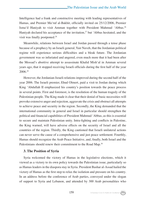Intelligence had a frank and constructive meeting with leading representatives of Hamas, and Premier Ma'ruf al-Bakhit, officially invited on 25/12/2006, Premier Isma'il Haniyah to visit Amman together with President Mahmud 'Abbas.26 Haniyah declared his acceptance of the invitation, $27$  but 'Abbas hesitated, and the visit was finally postponed.<sup>28</sup>

Meanwhile, relations between Israel and Jordan passed through a tense phase because of a prophecy by an Israeli general, Yair Naveh, that the Jordanian political regime will experience serious difficulties and a bleak future. The Jordanian government was so infuriated and angered, even much more that it had been after the Mossad's abortive attempt to assassinate Khalid Mish'al in Amman several years ago, that it stopped receiving Israeli officials during the first half of the year 2006.29

However, the Jordanian-Israeli relations improved during the second half of the year 2006. The Israeli premier, Ehud Olmert, paid a visit to Jordan during which King 'Abdullah II emphasized his country's position towards the peace process in several points. First and foremost, is the resolution of the human tragedy of the Palestinian people. The King made it clear that their denial of basic necessities will provoke extensive anger and rejection, aggravate the crisis and obstruct all attempts to achieve peace and security in the region. Secondly, the King demanded that the international community in general and Israel in particular should strengthen the political and financial capabilities of President Mahmud 'Abbas, as this is essential to secure and maintain Palestinian unity. Intra-fighting and conflicts in Palestine, the King warned, will have adverse effects on the security of Israel and all the countries of the region. Thirdly, the King cautioned that Israeli unilateral actions can never serve the cause of a comprehensive and just peace settlement. Fourthly, Hamas should recognize the Arab Peace Initiative, and, finally, both Israel and the Palestinians should renew their commitment to the Road Map.<sup>30</sup>

#### **3. The Position of Syria**

Syria welcomed the victory of Hamas in the legislative elections, which it viewed as a victory to its own policy towards the Palestinian issue, particularly so as Hamas leaders in the diaspora stay in Syria. President Bashar al-Assad hailed the victory of Hamas as the first step to relax the isolation and pressure on his country. In an address before the conference of Arab parties, conveyed under the slogan of support to Syria and Lebanon, and attended by 300 Arab personalities who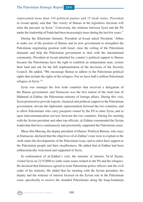represented more than 110 political parties and 15 Arab states, President al-Assad openly said that "the victory of Hamas in the legislative elections will relax the pressure on Syria." Conversely, the relations between Syria and the PA under the leadership of Fatah had been increasingly tense during the last few years.<sup>31</sup>

During the Khartoum Summit, President al-Assad asked President 'Abbas to make use of the position of Hamas and its new government to strengthen the Palestinian negotiating position with Israel, raise the ceiling of the Palestinian demands and help the Palestinian government to deal with the international community. President al-Assad admitted his country's political support to Hamas because the Palestinians have the right to establish an independent state, restore their land and ask for the full implementation of the decisions of the Security Council. He added, "We encourage Hamas to adhere to the Palestinian political rights that include the rights of the refugees. For we have half a million Palestinian refugees in Syria."32

Syria was amongst the first Arab countries that received a delegation of the Hamas government, and Damascus was the first station of the Arab tour of Mahmud al-Zahhar, the Palestinian minister of foreign affairs. During this visit, Syria promised to provide logistic, financial and political support to the Palestinian government, elevate the diplomatic representation between the two countries, and to allow Palestinians who carry passports issued by the PA to enter Syria, and to open telecommunication services between the two countries. During his meeting with the Syrian president and other top officials, al-Zahhar commended the Syrian leadership that have continuously and persistently supported the Palestinian cause.

Musa Abu Marzuq, the deputy president of Hamas' Political Bureau, who stays in Damascus, declared that the objectives of al-Zahhar's tour were to explain to the Arab states the developments of the Palestinian issue, and to enlist their support to the Palestinian people and their steadfastness. He added that al-Zahhar had been enthusiastically welcomed and supported in Syria.

In continuation of al-Zahhar's visit, the minister of interior, Sa'id Siyam, visited Syria on 21/5/2006 to settle some issues related to the PA and the refugees. He declared that Damascus agreed to train Palestinian police officers and the civil cadre of his ministry. He added that his meeting with the Syrian president, his deputy and the minister of interior focused on the Syrian role in the Palestinian issue, specifically to receive the stranded Palestinians along the Iraqi-Jordanian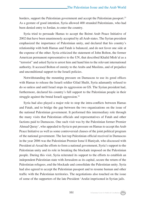borders, support the Palestinian government and accept the Palestinian passport.33 As a gesture of good intention, Syria allowed 400 stranded Palestinians, who had been denied entry to Jordan, to enter the country.

Syria tried to persuade Hamas to accept the Beirut Arab Peace Initiative of 2002 that have been unanimously accepted by all Arab states. The Syrian president emphasized the importance of Palestinian unity, and declared that his country's relationship with both Hamas and Fatah is balanced, and do not favor one side at the expense of the other. Syria criticized the statement of John Bolton, the former American permanent representative to the UN, that described Khalid Mish'al as a "terrorist" and asked Syria to arrest him and hand him to the relevant international authority. It accused Bolton of enmity to the Arabs and Muslims, and of prejudice and unconditional support to the Israeli policies.

Notwithstanding the mounting pressure on Damascus to use its good offices with Hamas to release the Israeli soldier Gilad Shalit, Syria adamantly refused to do so unless and until Israel stops its aggression on GS. The Syrian president had, furthermore, declared his country's full support to the Palestinian people in their struggle against the brutal Israeli aggression.<sup>34</sup>

Syria had also played a major role to stop the intra-conflicts between Hamas and Fatah, and to bridge the gap between the two organizations on the issue of the national Palestinian government. It performed this intermediary role through the many visits that Palestinian officials and representatives of Fatah and other factions paid to Damascus. One such visit was by the Palestinian former Premier Ahmad Quray', who appealed to Syria to put pressure on Hamas to accept the Arab Peace Initiative as well as some controversial clauses of the joint political program of the national government. The last top Palestinian official received in Damascus in the year 2006 was the Palestinian Premier Isma'il Haniyah, who discussed with President al-Assad the efforts to form a national government, Syria's support to the Palestinian unity and its role in breaking the blockade imposed on the Palestinian people. During this visit, Syria reiterated its support to the efforts to establish an independent Palestinian state with Jerusalem as its capital, secure the return of the Palestinian refugees, end the blockade and consolidate the Palestinian unity. Syria had also agreed to accept the Palestinian passport and to resume human and other traffic with the Palestinian territories. The negotiations also touched on the issue of some of the supporters of the late President 'Arafat imprisoned in Syrian jails.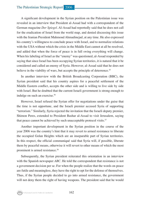A significant development in the Syrian position on the Palestinian issue was revealed in an interview that President al-Assad had with a correspondent of the German magazine *Der Spiegel*. Al-Assad had reportedly said that he does not call for the eradication of Israel from the world map, and denied discussing this issue with the Iranian President Mahmoud Ahmadinejad, at any time. He also expressed his country's willingness to conclude peace with Israel, and to normalize relations with the USA without which the crisis in the Middle East cannot at all be resolved, and added that when the force of peace is in full swing everything will change. When his labeling of Israel as the "enemy" was questioned, al-Assad responded by saying that since Israel has been occupying Syrian territories, it is natural that it be considered and called an enemy of Syria. However, al-Assad said that he does not believe in the viability of wars, but accepts the principle of deterrence.<sup>35</sup>

In another interview with the British Broadcasting Corporation (BBC), the Syrian president said that his country aspires for a peaceful settlement of the Middle Eastern conflict, accepts the other side and is willing to live side by side with Israel. But he doubted that the current Israeli government is strong enough to indulge on such an exercise.36

However, Israel refused the Syrian offer for negotiations under the guise that the time is not opportune, and the Israeli premier accused Syria of supporting "terrorism." Similarly, Syria rejected the invitation that the Israeli deputy premier, Shimon Peres, extended to President Bashar al-Assad to visit Jerusalem, saying that peace cannot be achieved by such unacceptable protocol visits.<sup>37</sup>

Another important development in the Syrian position in the course of the year 2006 was the country's hint that it may revert to armed resistance to liberate the occupied Golan Heights which are an inseparable part of Syrian territories. In this respect, the official communiqué said that Syria will, if possible, liberate them by peaceful means, otherwise it will revert to other means of which the most prominent is armed resistance.<sup>38</sup>

Subsequently, the Syrian president reiterated this orientation in an interview with the Spanish newspaper *ABC*. He told the correspondent that resistance is not a government decision per se. For when the people realize that the words on peace are futile and meaningless, they have the right to opt for the defense of themselves. Thus, if the Syrian people decided to go into armed resistance, the government will not deny them the right of having weapons. The president said that he would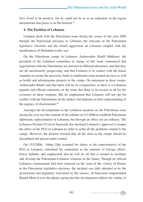have loved to be positive, but he could not be so as no indicators in the region demonstrate that peace is on the horizon.39

#### **4. The Position of Lebanon**

Lebanon dealt with the Palestinian issue during the course of the year 2006 through the Palestinian presence in Lebanon, the outcome of the Palestinian legislative elections and the Israeli aggression on Lebanon coupled with the steadfastness of Hizbullah in this war.

On the Palestinian camps in Lebanon, Ambassador Khalil Makkawi, the president of the Lebanese committee in charge of this issue, announced that negotiations with the Palestinians are pursued in different directions, and that they are all satisfactorily progressing, and that Lebanon is in contact with the donor countries to secure the necessary funds to implement some needed services as well as health and infrastructure projects in the camps. On armament in these camps, Ambassador Khalil said that there will be no compromise, as there is a Lebanese popular and official consensus on the issue that there is no excuse at all for the existence of these weapons. But he emphasized that Lebanon will not opt for conflict with the Palestinians on the subject, but depends on their understanding of the urgency of disarmament.<sup>40</sup>

Amongst the developments in the Lebanese position on the Palestinian issue during the year was the consent of the cabinet on 5/1/2006 to establish Palestinian diplomatic representation in Lebanon, but through an office not an embassy. The Lebanese Premier Fu'ad al-Sanyurah also declared Lebanon's approval to reopen the office of the PLO in Lebanon in order to settle all the problems related to the camps. However, the premier insisted that all the arms in the camps should be disciplined and placed under control.

On 15/5/2006, 'Abbas Zaki resumed his duties as the representative of the PLO in Lebanon, submitted his credentials to the minister of foreign affairs, Fawzi Sallukh, and emphasized that he will do all that is needed to facilitate and develop the Palestinian-Lebanese relations in the future. Though no official Lebanese communiqué had been released on the issue of the victory of Hamas in the Palestinian legislative elections, the incident was duly attended to by the government and popularly welcomed by the masses. Al-Sanyurah congratulated Khalid Mish'al over the phone saying that this development reflects the vitality of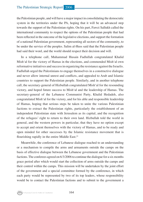the Palestinian people, and will have a major impact in consolidating the democratic system in the territories under the PA, hoping that it will be an advanced step towards the support of the Palestinian rights. On his part, Fawzi Sallukh called the international community to respect the options of the Palestinian people that had been reflected in the outcome of the legislative elections, and support the formation of a national Palestinian government, representing all sectors of the community, to be under the service of the peoples. Salim al-Huss said that the Palestinian people had said their word, and the world should respect their decision and will.

In a telephone call, Muhammad Husain Fadlullah congratulated Khalid Mish'al for the victory of Hamas in the elections, and commended Mish'al own reformative initiatives and success in organizing the resistance against the Israelis. Fadlullah urged the Palestinians to engage themselves in a constructive dialogue and never allow internal unrest and conflicts, and appealed to Arab and Islamic countries to support the Palestinian people. Similarly, and in another telephone call, the secretary-general of Hizbullah congratulated Mish'al for the resounding victory, and hoped future success to Mish'al and the leadership of Hamas. The secretary-general of the Lebanese Communist Party, Khalid Hedadeh, also congratulated Mish'al for the victory, and for his able and responsible leadership of Hamas, hoping that serious steps be taken to unite the various Palestinian factions to extract the Palestinian rights, particularly the establishment of an independent Palestinian state with Jerusalem as its capital, and the recognition of the refugees' right to return to their own land. Hizbullah told the world in general, and the western powers in particular, that they have no option except to accept and orient themselves with the victory of Hamas, and to be ready and open minded for other successes by the Islamic resistance movement that is flourishing rapidly in the entire Middle East.<sup>41</sup>

Meanwhile, the conference of Lebanese dialogue reached to an understanding or a mechanism to compile the arms and armaments outside the camps on the basis of effective dialogue between the Lebanese government and the Palestinian factions. The conferees agreed on 6/3/2006 to continue the dialogue for a six months grace period after which would start the collection of arms outside the camps and their control within the camps. This mission will be undertaken by the joint effort of the government and a special committee formed by the conference, in which each party would be represented by two of its top leaders, whose responsibility would be to contact the Palestinian factions and to submit to the government a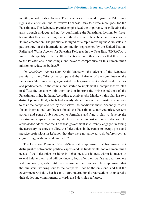monthly report on its activities. The conferees also agreed to give the Palestinian rights due attention, and to review Lebanese laws to create more jobs for the Palestinians. The Lebanese premier emphasized the importance of collecting the arms through dialogue and not by confronting the Palestinian factions by force, hoping that they will willingly accept the decision of the cabinet and cooperate in its implementation. The premier also urged for a rapid move by the Arab states to put pressure on the international community, represented by the United Nations Relief and Works Agency for Palestine Refugees in the Near East (UNRWA), to improve the quality of the health, educational and other services that they offer to the Palestinians in the camps, and never to compromise on this humanitarian mission or reduce its budget.<sup>42</sup>

On 26/3/2006, Ambassador Khalil Makkawi, the advisor of the Lebanese premier for the affairs of the camps and the chairman of the committee of the Lebanese-Palestinian dialogue, reported that his government studied the difficulties and predicaments in the camps, and started to implement a comprehensive plan to diffuse the tension within them, and to improve the living conditions of the Palestinians living in them. According to Ambassador Makkawi, this plan has two distinct phases: First, which had already started, to ask the ministers of service to visit the camps and see by themselves the conditions there. Secondly, to call for an international conference for all the Palestinian donor countries, western powers and some Arab countries to formulate and fund a plan to develop the Palestinian camps in Lebanon, which is expected to cost millions of dollars. The ambassador added that the Lebanese government is currently engaged in taking the necessary measures to allow the Palestinians in the camps to occupy posts and practice professions in Lebanon that they were not allowed to do before, such as engineering, medicine and law... etc.<sup>43</sup>

The Lebanese Premier Fu'ad al-Sanyurah emphasized that his government distinguishes between the political aspects and the fundamental socio-humanitarian needs of the Palestinians residing in Lebanon. It did its best within its means to extend help to them, and will continue to look after their welfare as dear brothers and temporary guests until they return to their homes. He emphasized that the ministers' working tour to the camps will not be the only one, and that the government will do what it can to urge international organizations to undertake their duties and commitments towards the Palestinian refugees.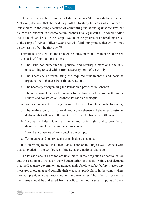#### The Palestinian Strategic Report 2006

The chairman of the committee of the Lebanese-Palestinian dialogue, Khalil Makkawi, declared that the next step will be to study the cases of a number of Palestinians in the camps accused of committing violations against the law, but claim to be innocent, in order to determine their final legal status. He added, "After the last ministerial visit to the camps, we are in the process of undertaking a visit to the camp of 'Ain al- Hilweh..., and we will fulfill our promise that this will not be the last visit but the first one."<sup>44</sup>

Hizbullah suggested that the issue of the Palestinians in Lebanon be addressed on the basis of four main principles:

- a. The issue has humanitarian, political and security dimensions, and it is unbecoming to deal with it from a security point of view only.
- b. The necessity of formulating the required fundamentals and basis to organize the Lebanese-Palestinian relations.
- c. The necessity of organizing the Palestinian presence in Lebanon.
- d. The only correct and useful manner for dealing with this issue is through a serious and constructive Lebanese-Palestinian dialogue.

As for the elements of resolving this issue, the party fixed them in the following:

- a. The realization of a national and comprehensive Lebanese-Palestinian dialogue that adheres to the right of return and refuses the settlement.
- b. To give the Palestinians their human and social rights and to provide for them the suitable humanitarian environment.
- c. To end the presence of arms outside the camps.
- d. To organize and supervise the arms inside the camps.

It is interesting to note that Hizbullah's vision on the subject was identical with that concluded by the conference of the Lebanese national dialogue.<sup>45</sup>

The Palestinians in Lebanon are unanimous in their rejection of naturalization and the settlement, insist on their humanitarian and social rights, and demand that the Lebanese government guarantees their absolute safety before it takes any measures to organize and compile their weapons, particularly in the camps where they had previously been subjected to many massacres. Thus, they advocate that their issue should be addressed from a political and not a security point of view.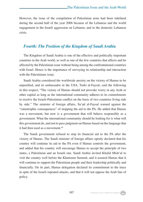However, the issue of the compilation of Palestinian arms had been sidelined during the second half of the year 2006 because of the Lebanese and the world engagement in the Israeli aggression on Lebanon, and in the domestic Lebanese crisis.

#### *Fourth: The Position of the Kingdom of Saudi Arabia*

The Kingdom of Saudi Arabia is one of the effective and politically important countries in the Arab world, as well as one of the few countries that affects and be affected by the Palestinian issue without being among the confrontational countries with Israel. Hence is the importance of surveying its relationship and interaction with the Palestinians issue.

Saudi Arabia considered the worldwide anxiety on the victory of Hamas to be unjustified, and its ambassador in the USA, Turki al-Faysal, said the following in this respect, "The victory of Hamas should not provoke worry in any Arab or other capital as long as the international community adheres to its commitments to resolve the Israeli-Palestinian conflict on the basis of two countries living side by side." The minister of foreign affairs, Sa'ud al-Faysal warned against the "catastrophic consequences" of stopping the aid to the PA. He added that Hamas was a movement, but now is a government that will behave responsibly as a government. What the international community should be looking for is what will this government do, and not to pass judgment on Hamas based on the language that it had then used as a movement.<sup>46</sup>

The Saudi government refused to stop its financial aid to the PA after the victory of Hamas. The Saudi minister of foreign affairs openly declared that his country will continue its aid to the PA even if Hamas controls the government, and added that his country will encourage Hamas to accept the principle of two states, a Palestinian and an Israeli one. Saudi Arabia invited Khalid Mish'al to visit the country well before the Khartoum Summit, and it assured Hamas that it will continue to support the Palestinian people and their leadership politically and financially. On its part, Hamas delegation declared its commitment to the truce in spite of the Israeli repeated attacks, and that it will not oppose the Arab line of policy.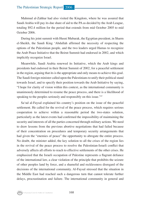#### The Palestinian Strategic Report 2006

Mahmud al-Zahhar had also visited the Kingdom, where he was assured that Saudi Arabia will pay its due share of aid to the PA as decided by the Arab League, totaling \$92.4 million for the period that extends from mid October 2005 to mid October 2006.

During his joint summit with Husni Mubarak, the Egyptian president, in Sharm el-Sheikh, the Saudi King 'Abdullah affirmed the necessity of respecting the options of the Palestinian people, and the two leaders urged Hamas to recognize the Arab Peace Initiative that the Beirut Summit had endorsed in 2002, and which implicitly recognize Israel.

Meanwhile, Saudi Arabia renewed its Initiative, which the Arab kings and presidents had endorsed in their Beirut Summit of 2002, for a peaceful settlement in the region, arguing that its is the appropriate and only means to achieve this goal. The Saudi foreign minister called upon the Palestinians to unify their political stand towards Israel, and to specify their position towards the Arab Initiative by saying, "I hope for clarity of vision within this context, as the international community is unanimously determined to resume the peace process, and there is a likelihood of speaking to the peoples seriously and responsibly on this issue."<sup>47</sup>

Sa'ud al-Faysal explained his country's position on the issue of the peaceful settlement. He called for the revival of the peace process, which requires serious cooperation to achieve within a reasonable period the two-states solution, particularly as the latest events had confirmed the impossibility of maintaining the security and interests of all the parties concerned through military actions. We need to draw lessons from the previous abortive negotiations that had failed because of their concentration on procedures and temporary security arrangements that had given the "enemies of peace" the opportunity to abrogate the entire process. No doubt, the minister added, the key solution to all the crises of the region lies in the revival of the peace process to resolve the Palestinian-Israeli conflict that adversely affects all efforts to reach to effective settlements of the other crises. He emphasized that the Israeli occupation of Palestine represents a flagrant defiance of the international law, a clear violation of the principle that prohibits the seizure of other peoples land by force, and a shameful and recklessness disregard of the decisions of the international community. Al-Faysal stressed that the situation in the Middle East had reached such a dangerous turn that cannot tolerate further delays, procrastination and failure. The international community in general and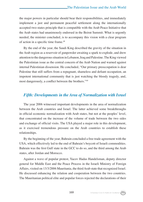the major powers in particular should bear their responsibilities, and immediately implement a just and permanent peaceful settlement along the internationally accepted two-states principle that is compatible with the Arab Peace Initiative that the Arab states had unanimously endorsed in the Beirut Summit. What is urgently needed, the minister concluded, is to accompany this vision with a clear program of action in a specific time frame.<sup>48</sup>

By the end of the year, the Saudi King described the gravity of the situation in the Arab region as a reservoir of gunpowder awaiting a spark to explode, and drew attention to the dangerous situation in Lebanon, Iraq and Palestine. The King viewed the Palestinian issue as the central concern of the Arab Nation and warned against internal Palestinian dissension. He concluded, "Our primary preoccupation is dear Palestine that still suffers from a repugnant, shameless and defiant occupation, an impotent international community that is just watching the bloody tragedy, and, most dangerously, a conflict between the brothers."<sup>49</sup>

# *Fifth: Developments in the Area of Normalization with Israel*

The year 2006 witnessed important developments in the area of normalization between the Arab countries and Israel. The latter achieved some breakthroughs in official economic normalization with Arab states, but not at the peoples' level, that concentrated on the increase of the volume of trade between the two sides and exchange of official visits. The USA played a major role in this development, as it exercised tremendous pressure on the Arab countries to establish these relationships.

By the beginning of the year, Bahrain concluded a free trade agreement with the USA, which effectively led to the end of Bahrain's boycott of Israeli commodities. Bahrain was the first Gulf state in the GCC to do so, and the third among the Arab states, after Jordan and Morocco.

Against a wave of popular protest, Yacov Hadas Handelsman, deputy director general for Middle East and the Peace Process in the Israeli Ministry of Foreign Affairs, visited on 13/3/2006 Mauritania, the third Arab state that recognized Israel. He discussed enhancing the relation and cooperation between the two countries. The Mauritanian political elite and popular forces rejected the declarations of their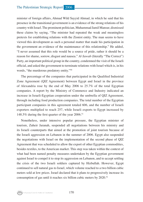minister of foreign affairs, Ahmad Wild Sayyid Ahmad, in which he said that his presence in the transitional government is an evidence of the strong relations of his country with Israel. The prominent politician, Muhammad Jamil Mansur, dismissed these claims by saying, "The minister had repeated the weak and meaningless pretexts for establishing relations with the Zionist entity. The man seems to have viewed this development as such a personal matter that made his participation in the government an evidence of the maintenance of this relationship." He added, "I never assumed that this role would be a source of pride, rather it should be a reason for shame, sorrow, disgust and nausea." *Al-Sawab* (literally "The Correct") Party, an important political group in the country, condemned the visit of the Israeli official, and asked the government to terminate relations with Israel which is, in his words, "the murderous predatory entity."50

The percentage of the companies that participated in the Qualified Industrial Zone Agreement (QIZ Agreement) between Egypt and Israel in the province of Alexandria rose by the end of May 2006 to 25.7% of the total Egyptian companies. A report by the Ministry of Commerce and Industry indicated an increase in Israeli-Egyptian cooperation under the umbrella of QIZ Agreement, through including food production companies. The total number of the Egyptian participant companies in this agreement totaled 606, and the number of Israeli exporters multiplied to reach 257, while Israeli exports to Egypt increased by 148.5% during the first quarter of the year 2006.<sup>51</sup>

Nonetheless, under intensive popular pressure, the Egyptian minister of tourism, Zuheir Jaranah, suspended all negotiations between his ministry and its Israeli counterparts that aimed at the promotion of joint tourism because of the Israeli aggression on Lebanon in the summer of 2006. Egypt also suspended the negotiations with Israel on the implementation of the second phase of QIZ Agreement that was scheduled to allow the export of other Egyptian commodities, besides textiles, to the American market. This step was taken within the context of what had been named penalty measures undertaken by the Egyptian government against Israel to compel it to stop its aggression on Lebanon, and to accept settling the crisis of the two Israeli soldiers captured by Hizbullah. However, Egypt continued to sell natural gas to Israel, which volume reached to a two billion cubic meters sold at low prices. Israel declared that it plans to progressively increase its consumption of gas until it reaches six billion cubic meters by 2020.<sup>52</sup>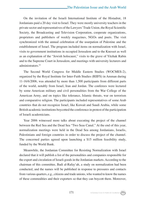On the invitation of the Israeli International Institute of the Histadrut, 18 Jordanians paid a 20 day visit to Israel. They were mostly university teachers in the private sector and representatives of the Lawyers' Trade Union, the Royal Scientific Society, the Broadcasting and Television Corporation, cooperate organizations, proprietors and publishers of weekly magazines, NGOs and poets. The visit synchronized with the annual celebration of the usurpation of Palestine and the establishment of Israel. The program included items on normalization with Israel, visits to government institutions in occupied Jerusalem and to the Knesset as well as an explanation of the "Jewish holocaust," visits to the grave of Yitzhak Rabin and to the Supreme Court in Jerusalem, and meetings with university lecturers and administrators.53

The Second World Congress for Middle Eastern Studies (WOCMES-2), organized by the Royal Institute for Inter-Faith Studies (RIIFS) in Amman during 11-16/6/2006, was attended by more than 1,500 participants from different parts of the world, notably from Israel, Iran and Jordan. The conferees were lectured by some American military and civil personalities from the War College of the American Army, and on topics like tolerance, Islamic threats, war on terrorism and comparative religion. The participants included representatives of some Arab countries that do not recognize Israel, like Kuwait and Saudi Arabia, while some British academic institutions boycotted the conference in protest of the participation of Israeli academicians.

Year 2006 witnessed more talks about executing the project of the channel between the Red Sea and the Dead Sea "Two Seas Canal." At the end of this year, normalization meetings were held in the Dead Sea among Jordanians, Israelis, Palestinians and foreign countries in order to discuss the project of the channel. The concerned parties agreed upon launching a \$15 million feasibility study, funded by the World Bank.

Meanwhile, the Jordanian Committee for Resisting Normalization with Israel declared that it will publish a list of the personalities and companies responsible for the export and circulation of Israeli goods in the Jordanian markets. According to the chairman of this committee, Badi al-Rafay'ah, a study on normalization had been conducted, and the names will be published in response to pressures and contacts from various quarters, e.g., citizens and trade unions, who wanted to know the names of these commodities and their exporters so that they can boycott them. Moreover,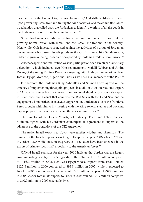the chairman of the Union of Agricultural Engineers, 'Abd al-Hadi al-Falahat, called upon preventing Israel from infiltrating the Arab societies, and the committee issued a declaration that called upon the Jordanians to identify the origin of all the goods in the Jordanian market before they purchase them.<sup>54</sup>

Some Jordanian activists called for a national conference to confront the growing normalization with Israel, and the Israeli infiltrations in the country. Meanwhile, Gulf investors protested against the activities of a group of Jordanian businessmen who passed Israeli goods to the Gulf markets, like Saudi Arabia, under the guise of being Jordanian or exported by Jordanian traders from Europe.<sup>55</sup>

Another aspect of normalization was the participation of an Israeli parliamentary delegation, which included two Knesset members, Majalli Whbee and Amira Dotan, of the ruling Kadima Party, in a meeting with Arab parliamentarians from Jordan, Egypt, Morocco, Algeria and Tunis as well as Fatah members of the PLC.<sup>56</sup>

Furthermore, the Jordanian King 'Abdullah and Shimon Peres agreed on the urgency of implementing three joint projects, in addition to an international airport in 'Aqaba that serves both countries. In return Israel should close down its airport in Eilat, construct a canal that connects the Red Sea with the Dead Sea, and be engaged in a joint project to excavate copper on the Jordanian side of the frontiers. Peres brought with him to his meeting with the King several studies and working papers prepared by Israeli experts and the relevant ministries.<sup>57</sup>

The director of the Israeli Ministry of Industry, Trade and Labor, Gabriel Maimon, signed with his Jordanian counterpart an agreement to supervise the adherence to the conditions of the QIZ Agreement.

The major Israeli exports to Egypt were textiles, clothes and chemicals. The number of the Israeli exporters working in Egypt in the year 2006 totaled 257 and in Jordan 1,325 while those in Iraq were 27. The latter have been engaged in the export of primary food stuff, especially to the American forces.<sup>58</sup>

Official Israeli statistics for the year 2006 indicate that Jordan was the largest Arab importing country of Israeli goods, to the value of \$136.8 million compared to \$116.2 million in 2005. Next was Egypt whose imports from Israel totaled \$125.8 million in 2006 compared to \$93.8 million in 2005, while it exported to Israel in 2006 commodities of the value of \$77.1 million compared to \$49.1 million in 2005. As for Jordan, its exports to Israel in 2006 valued \$38.3 million compared to \$60.9 million in 2005 (see table 1/4).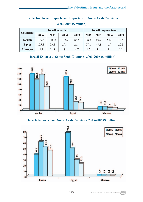### **Table 1/4: Israeli Exports and Imports with Some Arab Countries 2003-2006 (\$ million)59**

| <b>Countries</b> | Israeli exports to: |       |       |      | <b>Israeli imports from:</b> |      |      |      |
|------------------|---------------------|-------|-------|------|------------------------------|------|------|------|
|                  | 2006                | 2005  | 2004  | 2003 | 2006                         | 2005 | 2004 | 2003 |
| <b>Jordan</b>    | 136.8               | 116.2 | 132.9 | 86.8 | 38.3                         | 60.9 | 51.4 | 44.4 |
| Egypt            | 125.8               | 93.8  | 29.4  | 26.4 | 77.1                         | 49.1 | 29   | 22.3 |
| <b>Morocco</b>   | 11 1                | 11.8  | 9     | 6.7  | 1.7                          | 1.4  | 1.4  | 1.2  |

#### **Israeli Exports to Some Arab Countries 2003-2006 (\$ million)**



#### **Israeli Imports from Some Arab Countries 2003-2006 (\$ million)**

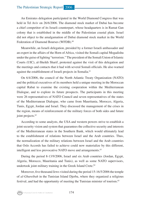An Emirates delegation participated in the World Diamond Congress that was held in Tel Aviv on 26/6/2006. The diamond stock market of Dubai has become a chief competitor of its Israeli counterpart, whose headquarters is in Ramat Gan colony that is established in the middle of the Palestinian coastal plain. Israel did not object to the amalgamation of Dubai diamond stock market in the World Federation of Diamond Bourses (WFDB).<sup>60</sup>

Meanwhile, an Israeli delegation, presided by a former Israeli ambassador and an expert in the affairs of the Horn of Africa, visited the Somali capital Mogadishu under the guise of fighting "terrorism." The president of the Somali Union of Islamic Courts (UIC), al-Sheikh Sharif, protested against the visit of this delegation and the meetings and contacts that it had with several Somali officials. He also warned against the establishment of Israeli projects in Somalia.<sup>61</sup>

On 6/4/2006, the council of the North Atlantic Treaty Organization (NATO) and the political executives of its members held a unique meeting in the Moroccan capital Rabat to examine the existing cooperation within the Mediterranean Dialogue, and to explore its future prospects. The participants in this meeting were 26 representatives of NATO Council and seven representatives of the states of the Mediterranean Dialogue, who came from Mauritania, Morocco, Algeria, Tunis, Egypt, Jordan and Israel. They discussed the management of the crises in the region, means of reinforcement of the military forces of both sides and future joint projects.<sup>62</sup>

According to some analysts, the USA and western powers strive to establish a joint security vision and system that guarantees the collective security and interests of the Mediterranean states in the Southern Bank, which would ultimately lead to the establishment of relations between Israel and the Arab countries. Thus, the normalization of the military relations between Israel and the Arab countries that Oslo Accords has failed to achieve could now materialize by this different, intelligent and less provocative NATO move and arrangements.<sup>63</sup>

During the period 8-13/9/2006, Israel and six Arab countries (Jordan, Egypt, Algeria, Morocco, Mauritania and Tunis), as well as some NATO supervisors, undertook joint military training in the Greek Island Crete.<sup>64</sup>

Moreover, five thousand Jews visited during the period 15-16/5/2006 the temple of *al-Ghureibah* in the Tunisian Island Djerba, where they organized a religious festival, and had the opportunity of meeting the Tunisian minister of tourism.65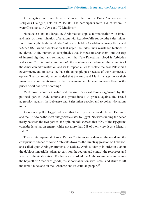A delegation of three Israelis attended the Fourth Doha Conference on Religions Dialogue, held on 25/4/2006. The participants were 131 of whom 38 were Christians, 14 Jews and 79 Muslims.<sup>66</sup>

Nonetheless, by and large, the Arab masses oppose normalization with Israel, and insist on the termination of relations with it, and to fully support the Palestinians. For example, the National Arab Conference, held in Casablanca during the period 5-8/5/2006, issued a declaration that urged the Palestinian resistance factions to be alerted to the numerous conspiracies that intrigue to drag them into the trap of internal fighting, and reminded them that "the Palestinian blood is forbidden and sacred." In its final communiqué, the conference condemned the attempts of the American administration and its European allies to isolate the new Palestinian government, and to starve the Palestinian people just because of their democratic option. The communiqué demanded that the Arab and Muslim states honor their financial commitments towards the Palestinian people, even increase them as the prices of oil has been booming.<sup>67</sup>

Most Arab countries witnessed massive demonstrations organized by the political parties, trade unions and professionals to protest against the Israeli aggression against the Lebanese and Palestinian people, and to collect donations to them.

An opinion poll in Egypt indicated that the Egyptians consider Israel, Denmark and the USA to be the most antagonistic states to Egypt. Notwithstanding the peace treaty between the two parties, the opinion poll showed that 92% of the Egyptians consider Israel as an enemy, while not more than 2% of them view it as a friendly state.<sup>68</sup>

The secretary-general of Arab Parties Conference condemned the stand and the conspicuous silence of some Arab states towards the Israeli aggression on Lebanon, and called upon Arab governments to activate Arab solidarity in order to a abort the dubious imperialist plans to partition the region and control the resources and wealth of the Arab Nation. Furthermore, it asked the Arab governments to resume the boycott of Americans goods, resist normalization with Israel, and strive to lift the Israeli blockade on the Lebanese and Palestinian people.<sup>69</sup>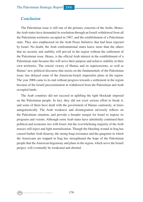#### *Conclusion*

The Palestinian issue is still one of the primary concerns of the Arabs. Hence, the Arab states have demanded its resolution through an Israeli withdrawal from all the Palestinian territories occupied in 1967, and the establishment of a Palestinian state. They also emphasized on the Arab Peace Initiative that had been rejected by Israel. No doubt, the Arab confrontational states know more than the others that no security and stability will prevail in the region without the settlement of the Palestinian issue. Hence, is the official Arab interest in the establishment of a Palestinian state because this will serve their purpose and achieve stability in their own territories. The crucial victory of Hamas and its repercussions, as well as Hamas' new political discourse that insists on the fundamentals of the Palestinian issue, has delayed some of the American-Israeli imperialist plans in the region. The year 2006 came to its end without progress towards a settlement in the region because of the Israeli procrastination in withdrawal from the Palestinian and Arab occupied lands.

The Arab countries did not succeed in uplifting the tight blockade imposed on the Palestinian people. In fact, they did not exert serious effort to break it, and some of them have dealt with the government of Hamas cautiously, at times antagonistically. The Arab weakness and disintegration adversely reflects on the Palestinian situation, and provide a broader margin for Israel to impose its programs and visions. Although some Arab states have admittedly continued their political and economic ties with Israel, but the overwhelming majority of the Arab masses still reject and fight normalization. Though the bleeding wound in Iraq has caused further Arab disarray, the strong Iraqi resistance and the quagmire in which the Americans are trapped in Iraq has strengthened the hope of the Palestinian people that the American hegemony and plans in the region, which serve the Israeli project, will eventually be weakened and aborted.

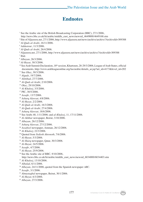# **Endnotes**

<sup>1</sup> See the Arabic site of the British Broadcasting Corporation (BBC), 27/1/2006, http://news.bbc.co.uk/hi/arabic/middle\_east\_news/newsid\_4649000/4649168.stm Site of Aljazeera.net, 27/1/2006, http://www.aljazeera.net/news/archive/archive?ArchiveId=309388 *Al-Quds al-Arabi*, 16/11/2006. *Addustour*, 11/3/2006. *Al-Quds al-Arabi*, 26/4/2006. Aljazeera.net, 27/1/2006, http://www.aljazeera.net/news/archive/archive?ArchiveId=309388 Ibid. *Albayan*, 26/3/2006. *Al-Hayat,* 30/3/2006. <sup>10</sup> See Arab Summit Declaration, 18<sup>th</sup> session, Khartoum, 28-29/3/2006, League of Arab States, official documents, http://www.arableagueonline.org/las/arabic/details\_ar.jsp?art\_id=4173&level\_id=202 11 See *Okaz*, 30/3/2006. *Alquds*, 19/7/2006. *Alittihad*, 27/7/2006. *Al-Quds al-Arabi*, 2/10/2006. *Okaz,* 29/10/2006. *Al-Khaleej*, 3/5/2006. <sup>17</sup> PIC, 30/5/2006. *Assafir*, 13/7/2006. *Asharq Alawsat*, 4/8/2006. *Al-Hayat*, 2/2/2006. *Al-Quds al-Arabi*, 16/3/2006. *Al-Quds al-Arabi*, 27/4/2006. *Asharq Alawsat*, 18/6/2006. See Arabs 48, 1/11/2006; and *al-Khaleej*, 11, 17/11/2006. *Al-Akhbar* newspaper, Beirut, 3/10/2006. *Albayan*, 26/12/2006. *Asharq Alawsat*, 27/12/2006. *Assabeel* newspaper, Amman, 26/12/2006. *Al-Khaleej*, 22/3/2006. 30 Quoted from *Yedioth Ahronoth*, 7/6/2006. *Al-Hayat*, 5/3/2006. *Al-Sharq* newspaper, Qatar, 30/3/2006. *Al-Hayat,* 24/5/2006. *Assafir*, 4/7/2006. *Al-Hayat,* 25/9/2006. <sup>36</sup> See the Arabic site of BBC, 9/10/2006, http://news.bbc.co.uk/hi/arabic/middle\_east\_news/newsid\_6034000/6034403.stm *Al-Khaleej*, 13/10/2006. *Albalad*, 6/11/2006. *Albayan*, 24/11/2006, quoted from the Spanish newspaper *ABC*. *Assafir*, 3/1/2006. *Almustaqbal* newspaper, Beirut, 30/1/2006. *Al-Hayat,* 6/3/2006.

*Albayan*, 27/3/2006.

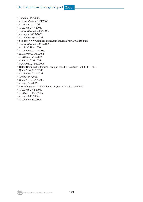#### The Palestinian Strategic Report 2006

- *Annahar*, 1/4/2006.
- *Asharq Alawsat*, 16/4/2006.
- *Al-Hayat,* 1/2/2006.
- *Al-Hayat,* 23/9/2006.
- *Asharq Alawsat*, 24/9/2006.
- *Al-Hayat,* 10/12/2006.
- *Al-Khaleej*, 19/3/2006.
- See http: //www.zionism-israel.com/log/archives/00000256.html
- *Asharq Alawsat*, 23/12/2006.
- *Assabeel*, 18/4/2006.
- *Al-Khaleej*, 22/10/2006.
- Quds Press, 30/10/2006.
- *Al-Akhbar*, 5/12/2006.
- Arabs 48, 21/6/2006.
- Quds Press, 12/12/2006.
- Helen Brusilovsky, Israel's Foreign Trade by Countries 2006, 17/1/2007.
- Quds Press, 26/6/2006.
- *Al-Khaleej*, 22/3/2006.
- *Assafir*, 6/4/2006.
- Quds Press, 10/5/2006.
- *Assafir*, 5/9/2006.
- 65 See *Addustour*, 12/5/2006; and *al-Quds al-Arabi*, 16/5/2006.
- *Al-Hayat,* 27/4/2006.
- *Al-Khaleej*, 12/5/2006.
- *Assafir*, 2/11/2006.
- *Al-Khaleej*, 8/9/2006.